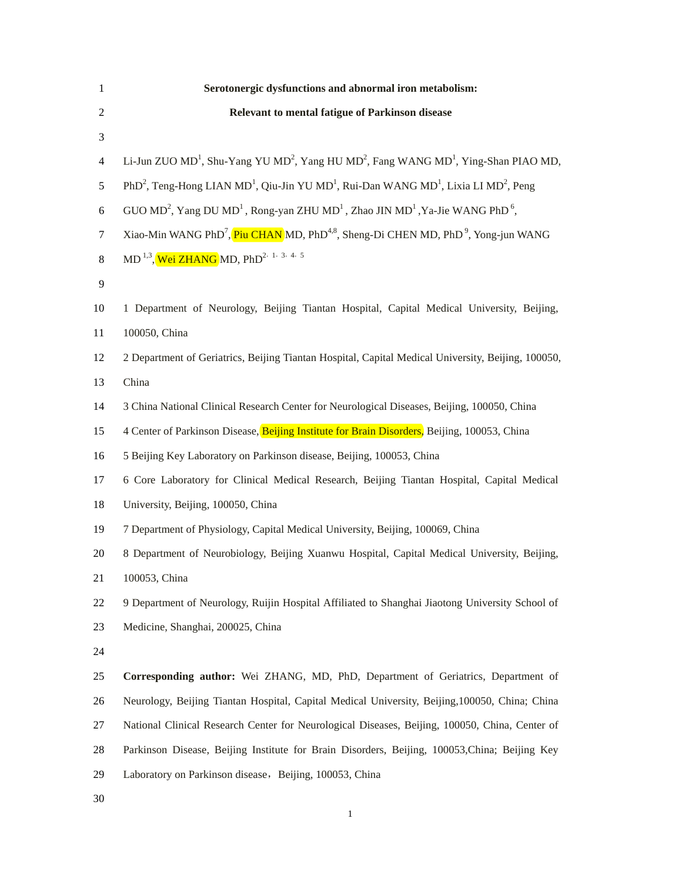| 1                | Serotonergic dysfunctions and abnormal iron metabolism:                                                                                         |
|------------------|-------------------------------------------------------------------------------------------------------------------------------------------------|
| 2                | Relevant to mental fatigue of Parkinson disease                                                                                                 |
| 3                |                                                                                                                                                 |
| 4                | Li-Jun ZUO MD <sup>1</sup> , Shu-Yang YU MD <sup>2</sup> , Yang HU MD <sup>2</sup> , Fang WANG MD <sup>1</sup> , Ying-Shan PIAO MD,             |
| 5                | PhD <sup>2</sup> , Teng-Hong LIAN MD <sup>1</sup> , Qiu-Jin YU MD <sup>1</sup> , Rui-Dan WANG MD <sup>1</sup> , Lixia LI MD <sup>2</sup> , Peng |
| $\boldsymbol{6}$ | GUO MD <sup>2</sup> , Yang DU MD <sup>1</sup> , Rong-yan ZHU MD <sup>1</sup> , Zhao JIN MD <sup>1</sup> , Ya-Jie WANG PhD <sup>6</sup> ,        |
| 7                | Xiao-Min WANG PhD <sup>7</sup> , Piu CHAN MD, PhD <sup>4,8</sup> , Sheng-Di CHEN MD, PhD <sup>9</sup> , Yong-jun WANG                           |
| 8                | MD <sup>1,3</sup> , Wei ZHANG MD, PhD <sup>2, 1, 3, 4, 5</sup>                                                                                  |
| 9                |                                                                                                                                                 |
| 10               | 1 Department of Neurology, Beijing Tiantan Hospital, Capital Medical University, Beijing,                                                       |
| 11               | 100050, China                                                                                                                                   |
| 12               | 2 Department of Geriatrics, Beijing Tiantan Hospital, Capital Medical University, Beijing, 100050,                                              |
| 13               | China                                                                                                                                           |
| 14               | 3 China National Clinical Research Center for Neurological Diseases, Beijing, 100050, China                                                     |
| 15               | 4 Center of Parkinson Disease, Beijing Institute for Brain Disorders, Beijing, 100053, China                                                    |
| 16               | 5 Beijing Key Laboratory on Parkinson disease, Beijing, 100053, China                                                                           |
| 17               | 6 Core Laboratory for Clinical Medical Research, Beijing Tiantan Hospital, Capital Medical                                                      |
| 18               | University, Beijing, 100050, China                                                                                                              |
| 19               | 7 Department of Physiology, Capital Medical University, Beijing, 100069, China                                                                  |
| 20               | 8 Department of Neurobiology, Beijing Xuanwu Hospital, Capital Medical University, Beijing,                                                     |
| 21               | 100053, China                                                                                                                                   |
| 22               | 9 Department of Neurology, Ruijin Hospital Affiliated to Shanghai Jiaotong University School of                                                 |
| 23               | Medicine, Shanghai, 200025, China                                                                                                               |
| 24               |                                                                                                                                                 |
| 25               | Corresponding author: Wei ZHANG, MD, PhD, Department of Geriatrics, Department of                                                               |
| 26               | Neurology, Beijing Tiantan Hospital, Capital Medical University, Beijing, 100050, China; China                                                  |
| 27               | National Clinical Research Center for Neurological Diseases, Beijing, 100050, China, Center of                                                  |
| 28               | Parkinson Disease, Beijing Institute for Brain Disorders, Beijing, 100053, China; Beijing Key                                                   |
| 29               | Laboratory on Parkinson disease, Beijing, 100053, China                                                                                         |
| 30               |                                                                                                                                                 |
|                  | 1                                                                                                                                               |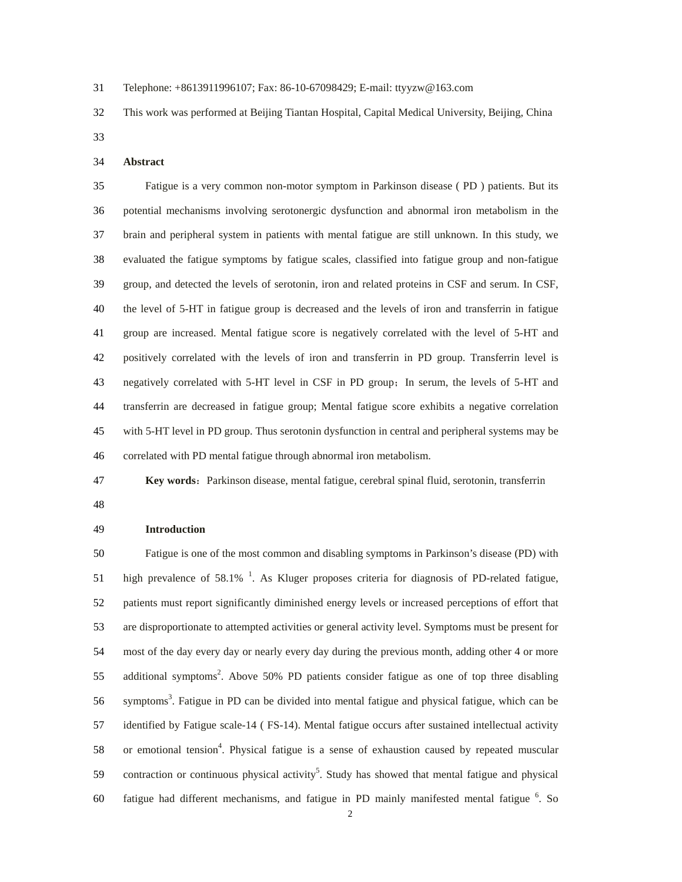- 31 Telephone: +8613911996107; Fax: 86-10-67098429; E-mail: ttyyzw@163.com
- 32 This work was performed at Beijing Tiantan Hospital, Capital Medical University, Beijing, China
- 33

#### 34 **Abstract**

35 Fatigue is a very common non-motor symptom in Parkinson disease ( PD ) patients. But its 36 potential mechanisms involving serotonergic dysfunction and abnormal iron metabolism in the 37 brain and peripheral system in patients with mental fatigue are still unknown. In this study, we 38 evaluated the fatigue symptoms by fatigue scales, classified into fatigue group and non-fatigue 39 group, and detected the levels of serotonin, iron and related proteins in CSF and serum. In CSF, 40 the level of 5-HT in fatigue group is decreased and the levels of iron and transferrin in fatigue 41 group are increased. Mental fatigue score is negatively correlated with the level of 5-HT and 42 positively correlated with the levels of iron and transferrin in PD group. Transferrin level is 43 negatively correlated with 5-HT level in CSF in PD group;In serum, the levels of 5-HT and 44 transferrin are decreased in fatigue group; Mental fatigue score exhibits a negative correlation 45 with 5-HT level in PD group. Thus serotonin dysfunction in central and peripheral systems may be 46 correlated with PD mental fatigue through abnormal iron metabolism.

47 **Key words:** Parkinson disease, mental fatigue, cerebral spinal fluid, serotonin, transferrin

48

#### 49 **Introduction**

50 Fatigue is one of the most common and disabling symptoms in Parkinson's disease (PD) with 51 high prevalence of 58.1%  $^1$ . As Kluger proposes criteria for diagnosis of PD-related fatigue, 52 patients must report significantly diminished energy levels or increased perceptions of effort that 53 are disproportionate to attempted activities or general activity level. Symptoms must be present for 54 most of the day every day or nearly every day during the previous month, adding other 4 or more 55 additional symptoms<sup>2</sup>. Above 50% PD patients consider fatigue as one of top three disabling 56 symptoms<sup>3</sup>. Fatigue in PD can be divided into mental fatigue and physical fatigue, which can be 57 identified by Fatigue scale-14 ( FS-14). Mental fatigue occurs after sustained intellectual activity 58 . or emotional tension<sup>4</sup>. Physical fatigue is a sense of exhaustion caused by repeated muscular 59 contraction or continuous physical activity<sup>5</sup>. Study has showed that mental fatigue and physical 60 fatigue had different mechanisms, and fatigue in PD mainly manifested mental fatigue  $\frac{6}{\text{S}}$ . So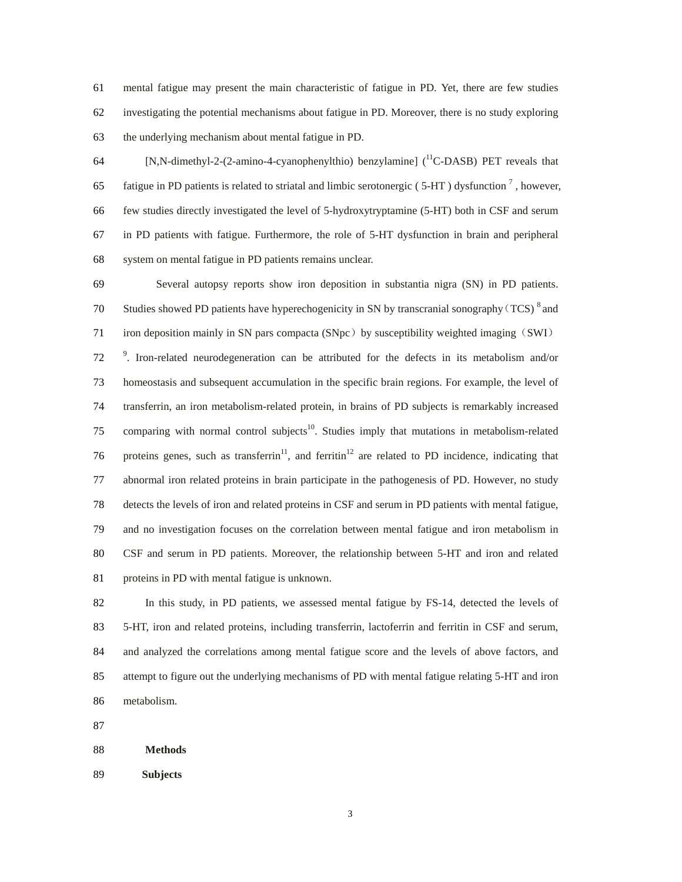61 mental fatigue may present the main characteristic of fatigue in PD. Yet, there are few studies 62 investigating the potential mechanisms about fatigue in PD. Moreover, there is no study exploring 63 the underlying mechanism about mental fatigue in PD.

 $[$ N,N-dimethyl-2-(2-amino-4-cyanophenylthio) benzylamine] ( $^{11}$ C-DASB) PET reveals that 65 fatigue in PD patients is related to striatal and limbic serotonergic (5-HT) dysfunction<sup>7</sup>, however, 66 few studies directly investigated the level of 5-hydroxytryptamine (5-HT) both in CSF and serum 67 in PD patients with fatigue. Furthermore, the role of 5-HT dysfunction in brain and peripheral 68 system on mental fatigue in PD patients remains unclear.

69 Several autopsy reports show iron deposition in substantia nigra (SN) in PD patients. 70 Studies showed PD patients have hyperechogenicity in SN by transcranial sonography (TCS)  $^8$  and 71 iron deposition mainly in SN pars compacta (SNpc) by susceptibility weighted imaging (SWI) <sup>9</sup>. Iron-related neurodegeneration can be attributed for the defects in its metabolism and/or 73 homeostasis and subsequent accumulation in the specific brain regions. For example, the level of 74 transferrin, an iron metabolism-related protein, in brains of PD subjects is remarkably increased 75 comparing with normal control subjects<sup>10</sup>. Studies imply that mutations in metabolism-related 76 proteins genes, such as transferrin<sup>11</sup>, and ferritin<sup>12</sup> are related to PD incidence, indicating that 77 abnormal iron related proteins in brain participate in the pathogenesis of PD. However, no study 78 detects the levels of iron and related proteins in CSF and serum in PD patients with mental fatigue, 79 and no investigation focuses on the correlation between mental fatigue and iron metabolism in 80 CSF and serum in PD patients. Moreover, the relationship between 5-HT and iron and related 81 proteins in PD with mental fatigue is unknown.

82 In this study, in PD patients, we assessed mental fatigue by FS-14, detected the levels of 83 5-HT, iron and related proteins, including transferrin, lactoferrin and ferritin in CSF and serum, 84 and analyzed the correlations among mental fatigue score and the levels of above factors, and 85 attempt to figure out the underlying mechanisms of PD with mental fatigue relating 5-HT and iron 86 metabolism.

87

### 88 **Methods**

89 **Subjects**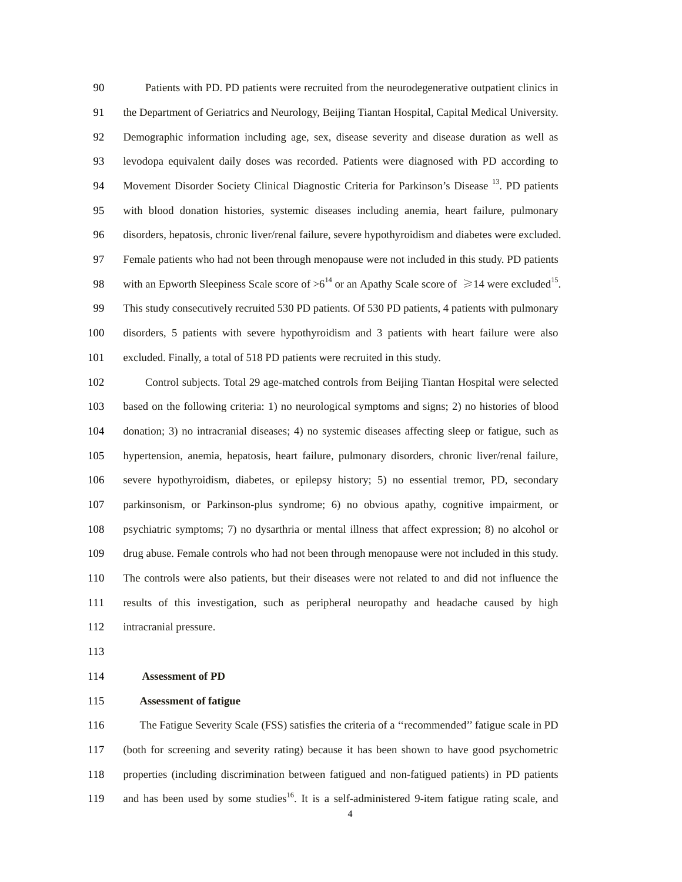90 Patients with PD. PD patients were recruited from the neurodegenerative outpatient clinics in 91 the Department of Geriatrics and Neurology, Beijing Tiantan Hospital, Capital Medical University. 92 Demographic information including age, sex, disease severity and disease duration as well as 93 levodopa equivalent daily doses was recorded. Patients were diagnosed with PD according to 94 Movement Disorder Society Clinical Diagnostic Criteria for Parkinson's Disease <sup>13</sup>. PD patients 95 with blood donation histories, systemic diseases including anemia, heart failure, pulmonary 96 disorders, hepatosis, chronic liver/renal failure, severe hypothyroidism and diabetes were excluded. 97 Female patients who had not been through menopause were not included in this study. PD patients 98 with an Epworth Sleepiness Scale score of  $>6^{14}$  or an Apathy Scale score of  $\geq 14$  were excluded<sup>15</sup>. 99 This study consecutively recruited 530 PD patients. Of 530 PD patients, 4 patients with pulmonary 100 disorders, 5 patients with severe hypothyroidism and 3 patients with heart failure were also 101 excluded. Finally, a total of 518 PD patients were recruited in this study.

102 Control subjects. Total 29 age-matched controls from Beijing Tiantan Hospital were selected 103 based on the following criteria: 1) no neurological symptoms and signs; 2) no histories of blood 104 donation; 3) no intracranial diseases; 4) no systemic diseases affecting sleep or fatigue, such as 105 hypertension, anemia, hepatosis, heart failure, pulmonary disorders, chronic liver/renal failure, 106 severe hypothyroidism, diabetes, or epilepsy history; 5) no essential tremor, PD, secondary 107 parkinsonism, or Parkinson-plus syndrome; 6) no obvious apathy, cognitive impairment, or 108 psychiatric symptoms; 7) no dysarthria or mental illness that affect expression; 8) no alcohol or 109 drug abuse. Female controls who had not been through menopause were not included in this study. 110 The controls were also patients, but their diseases were not related to and did not influence the 111 results of this investigation, such as peripheral neuropathy and headache caused by high 112 intracranial pressure.

113

# 114 **Assessment of PD**

### 115 **Assessment of fatigue**

116 The Fatigue Severity Scale (FSS) satisfies the criteria of a ''recommended'' fatigue scale in PD 117 (both for screening and severity rating) because it has been shown to have good psychometric 118 properties (including discrimination between fatigued and non-fatigued patients) in PD patients 119 and has been used by some studies<sup>16</sup>. It is a self-administered 9-item fatigue rating scale, and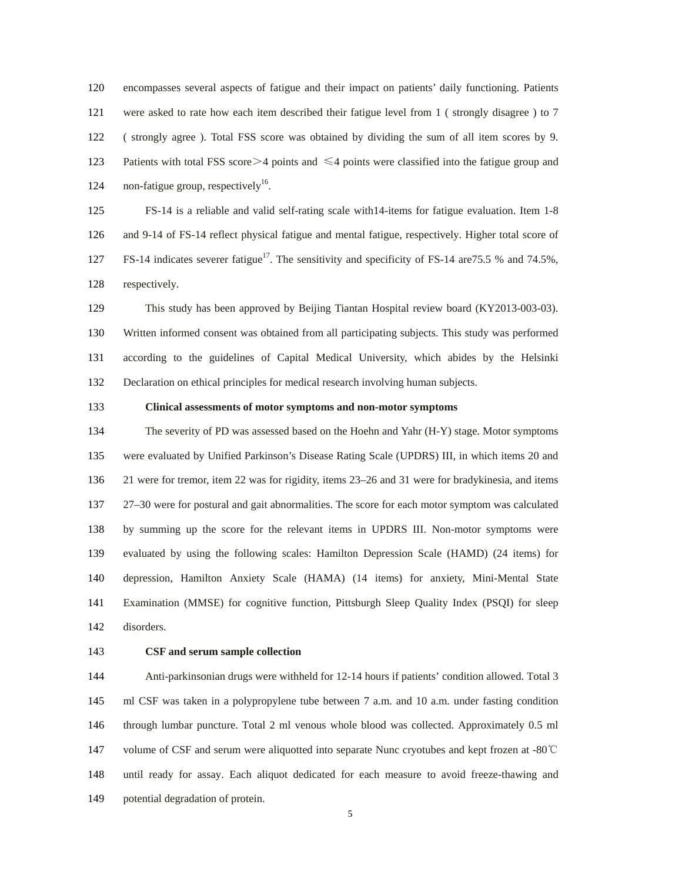120 encompasses several aspects of fatigue and their impact on patients' daily functioning. Patients 121 were asked to rate how each item described their fatigue level from 1 ( strongly disagree ) to 7 122 ( strongly agree ). Total FSS score was obtained by dividing the sum of all item scores by 9. 123 Patients with total FSS score  $\geq$  4 points and  $\leq$  4 points were classified into the fatigue group and 124 non-fatigue group, respectively<sup>16</sup>.

125 FS-14 is a reliable and valid self-rating scale with14-items for fatigue evaluation. Item 1-8 126 and 9-14 of FS-14 reflect physical fatigue and mental fatigue, respectively. Higher total score of 127 FS-14 indicates severer fatigue<sup>17</sup>. The sensitivity and specificity of FS-14 are 75.5 % and 74.5%, 128 respectively.

129 This study has been approved by Beijing Tiantan Hospital review board (KY2013-003-03). 130 Written informed consent was obtained from all participating subjects. This study was performed 131 according to the guidelines of Capital Medical University, which abides by the Helsinki 132 Declaration on ethical principles for medical research involving human subjects.

## 133 **Clinical assessments of motor symptoms and non-motor symptoms**

134 The severity of PD was assessed based on the Hoehn and Yahr (H-Y) stage. Motor symptoms 135 were evaluated by Unified Parkinson's Disease Rating Scale (UPDRS) III, in which items 20 and 136 21 were for tremor, item 22 was for rigidity, items 23–26 and 31 were for bradykinesia, and items 137 27–30 were for postural and gait abnormalities. The score for each motor symptom was calculated 138 by summing up the score for the relevant items in UPDRS III. Non-motor symptoms were 139 evaluated by using the following scales: Hamilton Depression Scale (HAMD) (24 items) for 140 depression, Hamilton Anxiety Scale (HAMA) (14 items) for anxiety, Mini-Mental State 141 Examination (MMSE) for cognitive function, Pittsburgh Sleep Quality Index (PSQI) for sleep 142 disorders.

# 143 **CSF and serum sample collection**

144 Anti-parkinsonian drugs were withheld for 12-14 hours if patients' condition allowed. Total 3 145 ml CSF was taken in a polypropylene tube between 7 a.m. and 10 a.m. under fasting condition 146 through lumbar puncture. Total 2 ml venous whole blood was collected. Approximately 0.5 ml 147 volume of CSF and serum were aliquotted into separate Nunc cryotubes and kept frozen at -80℃ 148 until ready for assay. Each aliquot dedicated for each measure to avoid freeze-thawing and 149 potential degradation of protein.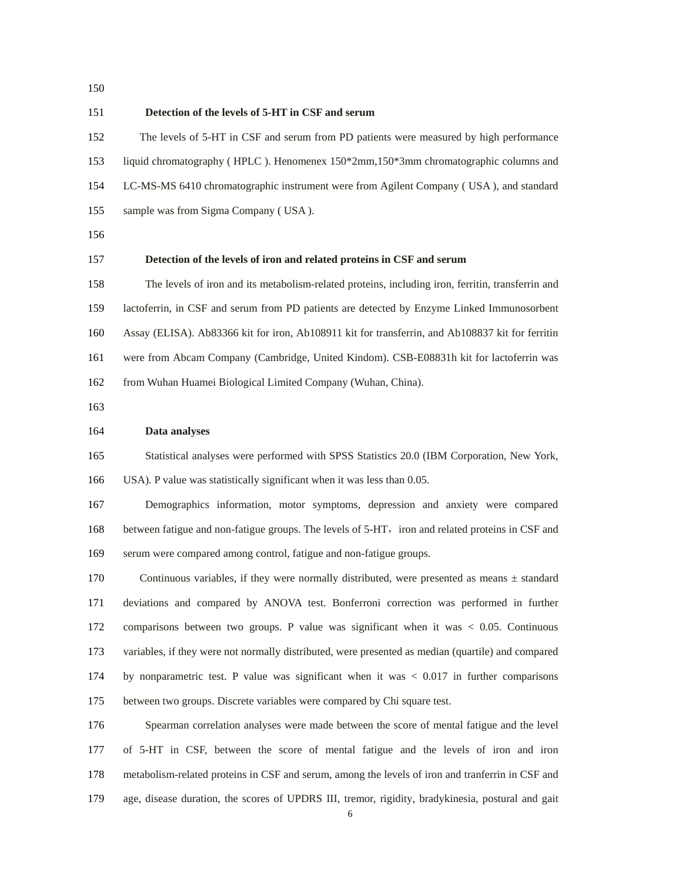150

#### 151 **Detection of the levels of 5-HT in CSF and serum**

152 The levels of 5-HT in CSF and serum from PD patients were measured by high performance 153 liquid chromatography ( HPLC ). Henomenex 150\*2mm,150\*3mm chromatographic columns and 154 LC-MS-MS 6410 chromatographic instrument were from Agilent Company ( USA ), and standard 155 sample was from Sigma Company ( USA ).

156

### 157 **Detection of the levels of iron and related proteins in CSF and serum**

158 The levels of iron and its metabolism-related proteins, including iron, ferritin, transferrin and 159 lactoferrin, in CSF and serum from PD patients are detected by Enzyme Linked Immunosorbent 160 Assay (ELISA). Ab83366 kit for iron, Ab108911 kit for transferrin, and Ab108837 kit for ferritin 161 were from Abcam Company (Cambridge, United Kindom). CSB-E08831h kit for lactoferrin was 162 from Wuhan Huamei Biological Limited Company (Wuhan, China).

163

### 164 **Data analyses**

165 Statistical analyses were performed with SPSS Statistics 20.0 (IBM Corporation, New York,

166 USA). P value was statistically significant when it was less than 0.05.

167 Demographics information, motor symptoms, depression and anxiety were compared 168 between fatigue and non-fatigue groups. The levels of 5-HT, iron and related proteins in CSF and 169 serum were compared among control, fatigue and non-fatigue groups.

170 Continuous variables, if they were normally distributed, were presented as means  $\pm$  standard 171 deviations and compared by ANOVA test. Bonferroni correction was performed in further 172 comparisons between two groups. P value was significant when it was < 0.05. Continuous 173 variables, if they were not normally distributed, were presented as median (quartile) and compared 174 by nonparametric test. P value was significant when it was < 0.017 in further comparisons 175 between two groups. Discrete variables were compared by Chi square test.

176 Spearman correlation analyses were made between the score of mental fatigue and the level 177 of 5-HT in CSF, between the score of mental fatigue and the levels of iron and iron 178 metabolism-related proteins in CSF and serum, among the levels of iron and tranferrin in CSF and 179 age, disease duration, the scores of UPDRS III, tremor, rigidity, bradykinesia, postural and gait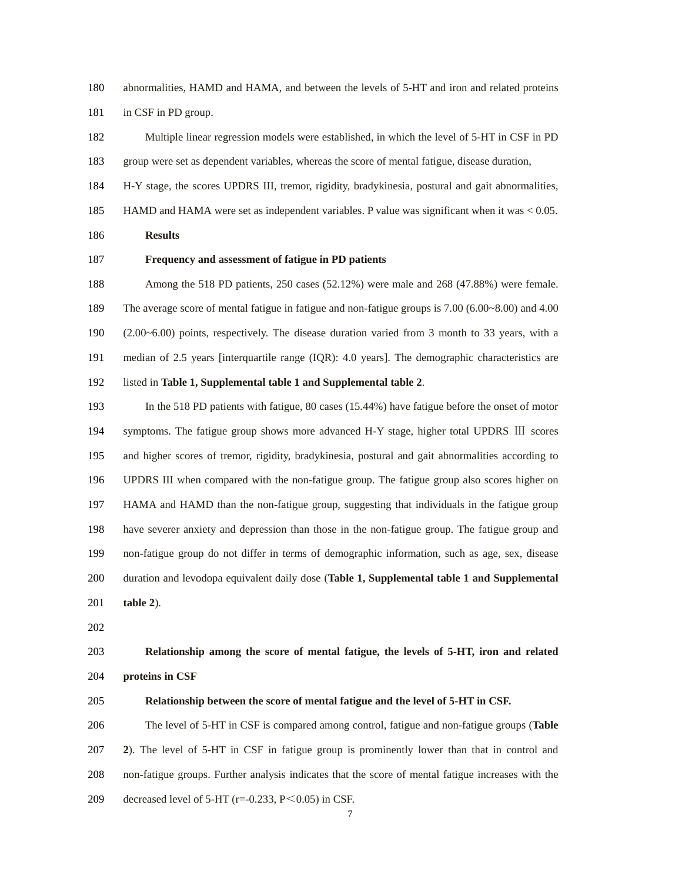180 abnormalities, HAMD and HAMA, and between the levels of 5-HT and iron and related proteins

181 in CSF in PD group.

- 182 Multiple linear regression models were established, in which the level of 5-HT in CSF in PD 183 group were set as dependent variables, whereas the score of mental fatigue, disease duration,
- 184 H-Y stage, the scores UPDRS III, tremor, rigidity, bradykinesia, postural and gait abnormalities,
- 185 HAMD and HAMA were set as independent variables. P value was significant when it was < 0.05.

186 **Results** 

### 187 **Frequency and assessment of fatigue in PD patients**

188 Among the 518 PD patients, 250 cases (52.12%) were male and 268 (47.88%) were female. 189 The average score of mental fatigue in fatigue and non-fatigue groups is 7.00 (6.00~8.00) and 4.00 190 (2.00~6.00) points, respectively. The disease duration varied from 3 month to 33 years, with a 191 median of 2.5 years [interquartile range (IQR): 4.0 years]. The demographic characteristics are 192 listed in **Table 1, Supplemental table 1 and Supplemental table 2**.

193 In the 518 PD patients with fatigue, 80 cases (15.44%) have fatigue before the onset of motor 194 symptoms. The fatigue group shows more advanced H-Y stage, higher total UPDRS III scores

195 and higher scores of tremor, rigidity, bradykinesia, postural and gait abnormalities according to 196 UPDRS III when compared with the non-fatigue group. The fatigue group also scores higher on 197 HAMA and HAMD than the non-fatigue group, suggesting that individuals in the fatigue group 198 have severer anxiety and depression than those in the non-fatigue group. The fatigue group and 199 non-fatigue group do not differ in terms of demographic information, such as age, sex, disease 200 duration and levodopa equivalent daily dose (**Table 1, Supplemental table 1 and Supplemental**  201 **table 2**).

202

# 203 **Relationship among the score of mental fatigue, the levels of 5-HT, iron and related**  204 **proteins in CSF**

205 **Relationship between the score of mental fatigue and the level of 5-HT in CSF.** 

206 The level of 5-HT in CSF is compared among control, fatigue and non-fatigue groups (**Table**  207 **2**). The level of 5-HT in CSF in fatigue group is prominently lower than that in control and 208 non-fatigue groups. Further analysis indicates that the score of mental fatigue increases with the 209 decreased level of 5-HT ( $r=-0.233$ ,  $P \le 0.05$ ) in CSF.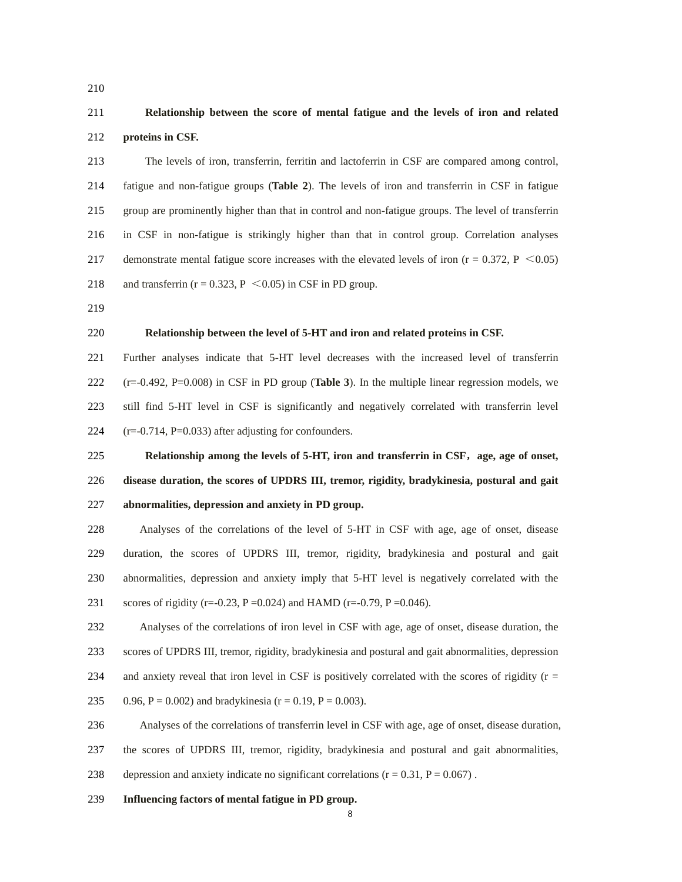210

# 211 **Relationship between the score of mental fatigue and the levels of iron and related**  212 **proteins in CSF.**

213 The levels of iron, transferrin, ferritin and lactoferrin in CSF are compared among control, 214 fatigue and non-fatigue groups (**Table 2**). The levels of iron and transferrin in CSF in fatigue 215 group are prominently higher than that in control and non-fatigue groups. The level of transferrin 216 in CSF in non-fatigue is strikingly higher than that in control group. Correlation analyses 217 demonstrate mental fatigue score increases with the elevated levels of iron  $(r = 0.372, P \le 0.05)$ 218 and transferrin ( $r = 0.323$ ,  $P \le 0.05$ ) in CSF in PD group.

219

# 220 **Relationship between the level of 5-HT and iron and related proteins in CSF.**

221 Further analyses indicate that 5-HT level decreases with the increased level of transferrin 222 (r=-0.492, P=0.008) in CSF in PD group (**Table 3**). In the multiple linear regression models, we 223 still find 5-HT level in CSF is significantly and negatively correlated with transferrin level 224  $(r=-0.714, P=0.033)$  after adjusting for confounders.

225 **Relationship among the levels of 5-HT, iron and transferrin in CSF**,**age, age of onset,**  226 **disease duration, the scores of UPDRS III, tremor, rigidity, bradykinesia, postural and gait**  227 **abnormalities, depression and anxiety in PD group.**

228 Analyses of the correlations of the level of 5-HT in CSF with age, age of onset, disease 229 duration, the scores of UPDRS III, tremor, rigidity, bradykinesia and postural and gait 230 abnormalities, depression and anxiety imply that 5-HT level is negatively correlated with the 231 scores of rigidity (r=-0.23, P = 0.024) and HAMD (r=-0.79, P = 0.046).

232 Analyses of the correlations of iron level in CSF with age, age of onset, disease duration, the 233 scores of UPDRS III, tremor, rigidity, bradykinesia and postural and gait abnormalities, depression 234 and anxiety reveal that iron level in CSF is positively correlated with the scores of rigidity ( $r =$ 235 0.96, P = 0.002) and bradykinesia (r = 0.19, P = 0.003).

236 Analyses of the correlations of transferrin level in CSF with age, age of onset, disease duration,

237 the scores of UPDRS III, tremor, rigidity, bradykinesia and postural and gait abnormalities,

- 238 depression and anxiety indicate no significant correlations ( $r = 0.31$ ,  $P = 0.067$ ).
- 239 **Influencing factors of mental fatigue in PD group.**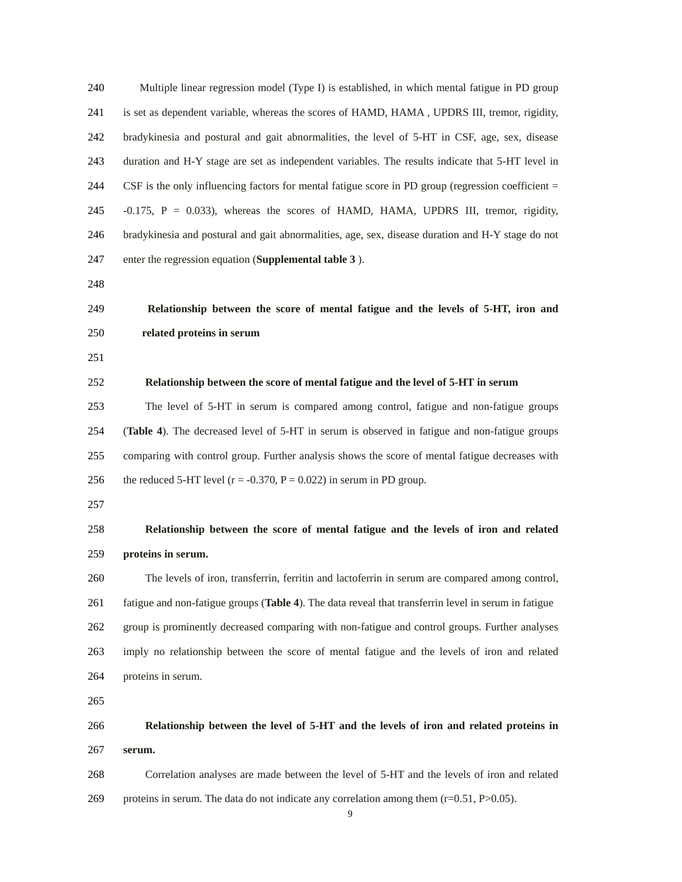240 Multiple linear regression model (Type I) is established, in which mental fatigue in PD group 241 is set as dependent variable, whereas the scores of HAMD, HAMA , UPDRS III, tremor, rigidity, 242 bradykinesia and postural and gait abnormalities, the level of 5-HT in CSF, age, sex, disease 243 duration and H-Y stage are set as independent variables. The results indicate that 5-HT level in 244 CSF is the only influencing factors for mental fatigue score in PD group (regression coefficient = 245 -0.175, P = 0.033), whereas the scores of HAMD, HAMA, UPDRS III, tremor, rigidity, 246 bradykinesia and postural and gait abnormalities, age, sex, disease duration and H-Y stage do not 247 enter the regression equation (**Supplemental table 3** ).

248

# 249 **Relationship between the score of mental fatigue and the levels of 5-HT, iron and**  250 **related proteins in serum**

251

## 252 **Relationship between the score of mental fatigue and the level of 5-HT in serum**

253 The level of 5-HT in serum is compared among control, fatigue and non-fatigue groups 254 (**Table 4**). The decreased level of 5-HT in serum is observed in fatigue and non-fatigue groups 255 comparing with control group. Further analysis shows the score of mental fatigue decreases with 256 the reduced 5-HT level ( $r = -0.370$ ,  $P = 0.022$ ) in serum in PD group.

257

# 258 **Relationship between the score of mental fatigue and the levels of iron and related**  259 **proteins in serum.**

260 The levels of iron, transferrin, ferritin and lactoferrin in serum are compared among control, 261 fatigue and non-fatigue groups (**Table 4**). The data reveal that transferrin level in serum in fatigue 262 group is prominently decreased comparing with non-fatigue and control groups. Further analyses 263 imply no relationship between the score of mental fatigue and the levels of iron and related 264 proteins in serum.

265

# 266 **Relationship between the level of 5-HT and the levels of iron and related proteins in**  267 **serum.**

268 Correlation analyses are made between the level of 5-HT and the levels of iron and related 269 proteins in serum. The data do not indicate any correlation among them  $(r=0.51, P>0.05)$ .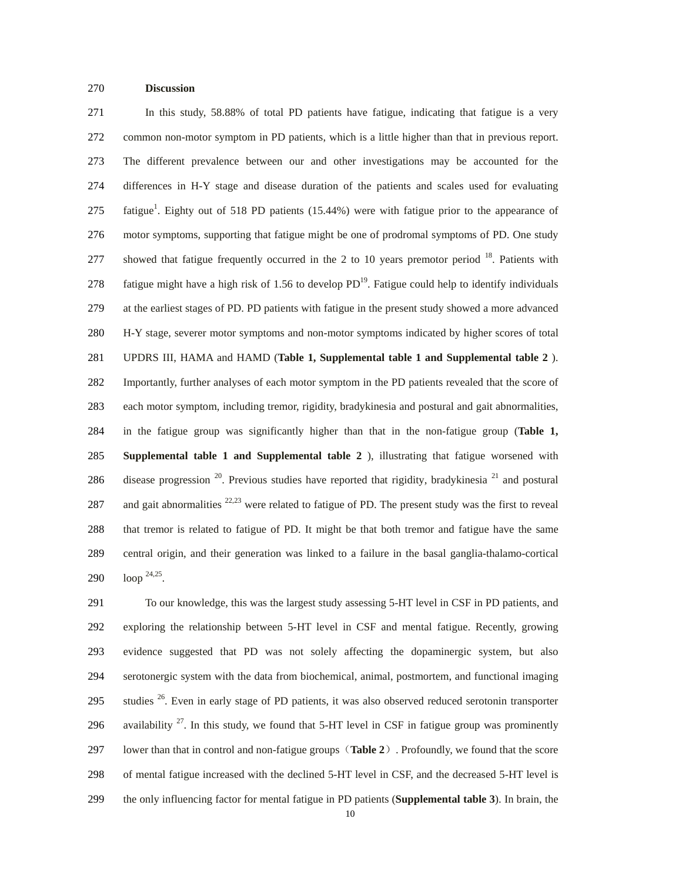## 270 **Discussion**

271 In this study, 58.88% of total PD patients have fatigue, indicating that fatigue is a very 272 common non-motor symptom in PD patients, which is a little higher than that in previous report. 273 The different prevalence between our and other investigations may be accounted for the 274 differences in H-Y stage and disease duration of the patients and scales used for evaluating 275  $\frac{275}{275}$  fatigue<sup>1</sup>. Eighty out of 518 PD patients (15.44%) were with fatigue prior to the appearance of 276 motor symptoms, supporting that fatigue might be one of prodromal symptoms of PD. One study 277 showed that fatigue frequently occurred in the 2 to 10 years premotor period <sup>18</sup>. Patients with 278 fatigue might have a high risk of 1.56 to develop  $PD^{19}$ . Fatigue could help to identify individuals 279 at the earliest stages of PD. PD patients with fatigue in the present study showed a more advanced 280 H-Y stage, severer motor symptoms and non-motor symptoms indicated by higher scores of total 281 UPDRS III, HAMA and HAMD (**Table 1, Supplemental table 1 and Supplemental table 2** ). 282 Importantly, further analyses of each motor symptom in the PD patients revealed that the score of 283 each motor symptom, including tremor, rigidity, bradykinesia and postural and gait abnormalities, 284 in the fatigue group was significantly higher than that in the non-fatigue group (**Table 1,**  285 **Supplemental table 1 and Supplemental table 2** ), illustrating that fatigue worsened with 286 disease progression  $^{20}$ . Previous studies have reported that rigidity, bradykinesia  $^{21}$  and postural 287 and gait abnormalities  $22,23$  were related to fatigue of PD. The present study was the first to reveal 288 that tremor is related to fatigue of PD. It might be that both tremor and fatigue have the same 289 central origin, and their generation was linked to a failure in the basal ganglia-thalamo-cortical 290  $\;$  loop <sup>24,25</sup>.

291 To our knowledge, this was the largest study assessing 5-HT level in CSF in PD patients, and 292 exploring the relationship between 5-HT level in CSF and mental fatigue. Recently, growing 293 evidence suggested that PD was not solely affecting the dopaminergic system, but also 294 serotonergic system with the data from biochemical, animal, postmortem, and functional imaging 295 studies  $26$ . Even in early stage of PD patients, it was also observed reduced serotonin transporter 296 availability  $27$ . In this study, we found that 5-HT level in CSF in fatigue group was prominently 297 lower than that in control and non-fatigue groups(**Table 2**). Profoundly, we found that the score 298 of mental fatigue increased with the declined 5-HT level in CSF, and the decreased 5-HT level is 299 the only influencing factor for mental fatigue in PD patients (**Supplemental table 3**). In brain, the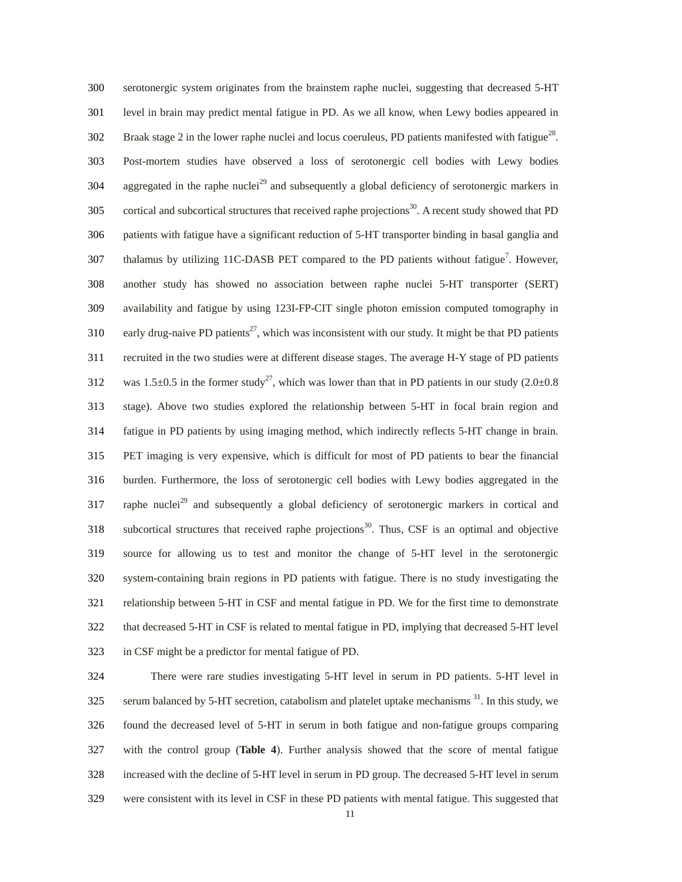300 serotonergic system originates from the brainstem raphe nuclei, suggesting that decreased 5-HT 301 level in brain may predict mental fatigue in PD. As we all know, when Lewy bodies appeared in 302 Braak stage 2 in the lower raphe nuclei and locus coeruleus, PD patients manifested with fatigue<sup>28</sup>. 303 Post-mortem studies have observed a loss of serotonergic cell bodies with Lewy bodies  $304$  aggregated in the raphe nuclei<sup>29</sup> and subsequently a global deficiency of serotonergic markers in 305 cortical and subcortical structures that received raphe projections<sup>30</sup>. A recent study showed that PD 306 patients with fatigue have a significant reduction of 5-HT transporter binding in basal ganglia and 307 thalamus by utilizing 11C-DASB PET compared to the PD patients without fatigue<sup>7</sup>. However, 308 another study has showed no association between raphe nuclei 5-HT transporter (SERT) 309 availability and fatigue by using 123I-FP-CIT single photon emission computed tomography in 310 early drug-naive PD patients<sup>27</sup>, which was inconsistent with our study. It might be that PD patients 311 recruited in the two studies were at different disease stages. The average H-Y stage of PD patients 312 was 1.5 $\pm$ 0.5 in the former study<sup>27</sup>, which was lower than that in PD patients in our study (2.0 $\pm$ 0.8 313 stage). Above two studies explored the relationship between 5-HT in focal brain region and 314 fatigue in PD patients by using imaging method, which indirectly reflects 5-HT change in brain. 315 PET imaging is very expensive, which is difficult for most of PD patients to bear the financial 316 burden. Furthermore, the loss of serotonergic cell bodies with Lewy bodies aggregated in the 317 anglee nuclei<sup>29</sup> and subsequently a global deficiency of serotonergic markers in cortical and  $318$  subcortical structures that received raphe projections<sup>30</sup>. Thus, CSF is an optimal and objective 319 source for allowing us to test and monitor the change of 5-HT level in the serotonergic 320 system-containing brain regions in PD patients with fatigue. There is no study investigating the 321 relationship between 5-HT in CSF and mental fatigue in PD. We for the first time to demonstrate 322 that decreased 5-HT in CSF is related to mental fatigue in PD, implying that decreased 5-HT level 323 in CSF might be a predictor for mental fatigue of PD.

324 There were rare studies investigating 5-HT level in serum in PD patients. 5-HT level in  $325$  serum balanced by 5-HT secretion, catabolism and platelet uptake mechanisms  $31$ . In this study, we 326 found the decreased level of 5-HT in serum in both fatigue and non-fatigue groups comparing 327 with the control group (**Table 4**). Further analysis showed that the score of mental fatigue 328 increased with the decline of 5-HT level in serum in PD group. The decreased 5-HT level in serum 329 were consistent with its level in CSF in these PD patients with mental fatigue. This suggested that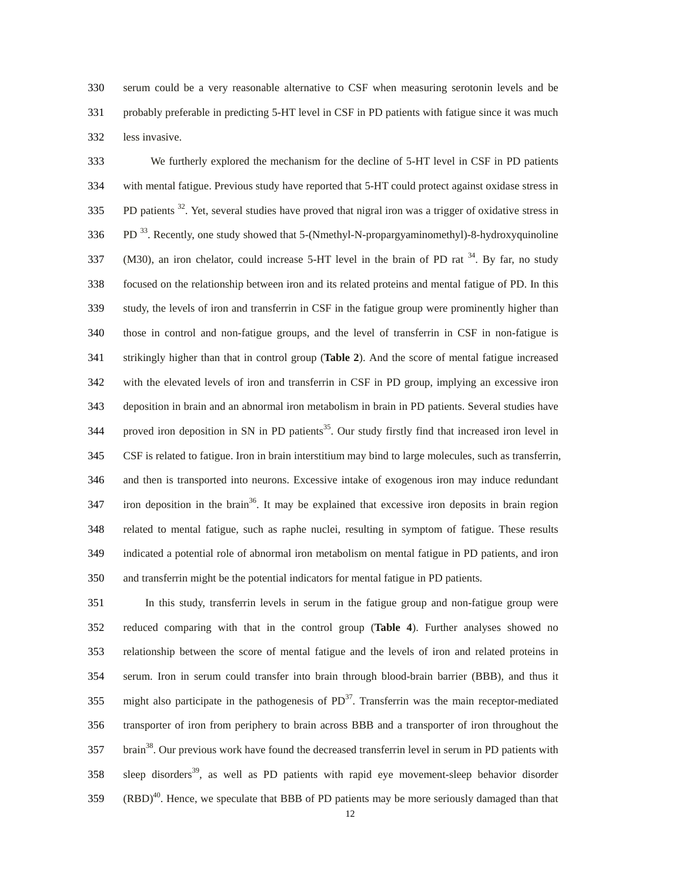330 serum could be a very reasonable alternative to CSF when measuring serotonin levels and be 331 probably preferable in predicting 5-HT level in CSF in PD patients with fatigue since it was much 332 less invasive.

333 We furtherly explored the mechanism for the decline of 5-HT level in CSF in PD patients 334 with mental fatigue. Previous study have reported that 5-HT could protect against oxidase stress in 335 . PD patients  $32$ . Yet, several studies have proved that nigral iron was a trigger of oxidative stress in 336 PD <sup>33</sup>. Recently, one study showed that 5-(Nmethyl-N-propargyaminomethyl)-8-hydroxyquinoline  $(337 \text{ (M30)}$ , an iron chelator, could increase 5-HT level in the brain of PD rat  $^{34}$ . By far, no study 338 focused on the relationship between iron and its related proteins and mental fatigue of PD. In this 339 study, the levels of iron and transferrin in CSF in the fatigue group were prominently higher than 340 those in control and non-fatigue groups, and the level of transferrin in CSF in non-fatigue is 341 strikingly higher than that in control group (**Table 2**). And the score of mental fatigue increased 342 with the elevated levels of iron and transferrin in CSF in PD group, implying an excessive iron 343 deposition in brain and an abnormal iron metabolism in brain in PD patients. Several studies have 344 proved iron deposition in SN in PD patients<sup>35</sup>. Our study firstly find that increased iron level in 345 CSF is related to fatigue. Iron in brain interstitium may bind to large molecules, such as transferrin, 346 and then is transported into neurons. Excessive intake of exogenous iron may induce redundant  $347$  iron deposition in the brain<sup>36</sup>. It may be explained that excessive iron deposits in brain region 348 related to mental fatigue, such as raphe nuclei, resulting in symptom of fatigue. These results 349 indicated a potential role of abnormal iron metabolism on mental fatigue in PD patients, and iron 350 and transferrin might be the potential indicators for mental fatigue in PD patients.

351 In this study, transferrin levels in serum in the fatigue group and non-fatigue group were 352 reduced comparing with that in the control group (**Table 4**). Further analyses showed no 353 relationship between the score of mental fatigue and the levels of iron and related proteins in 354 serum. Iron in serum could transfer into brain through blood-brain barrier (BBB), and thus it  $355$  might also participate in the pathogenesis of PD<sup>37</sup>. Transferrin was the main receptor-mediated 356 transporter of iron from periphery to brain across BBB and a transporter of iron throughout the 357 brain<sup>38</sup>. Our previous work have found the decreased transferrin level in serum in PD patients with 358 sleep disorders<sup>39</sup>, as well as PD patients with rapid eye movement-sleep behavior disorder  $(RBD)^{40}$ . Hence, we speculate that BBB of PD patients may be more seriously damaged than that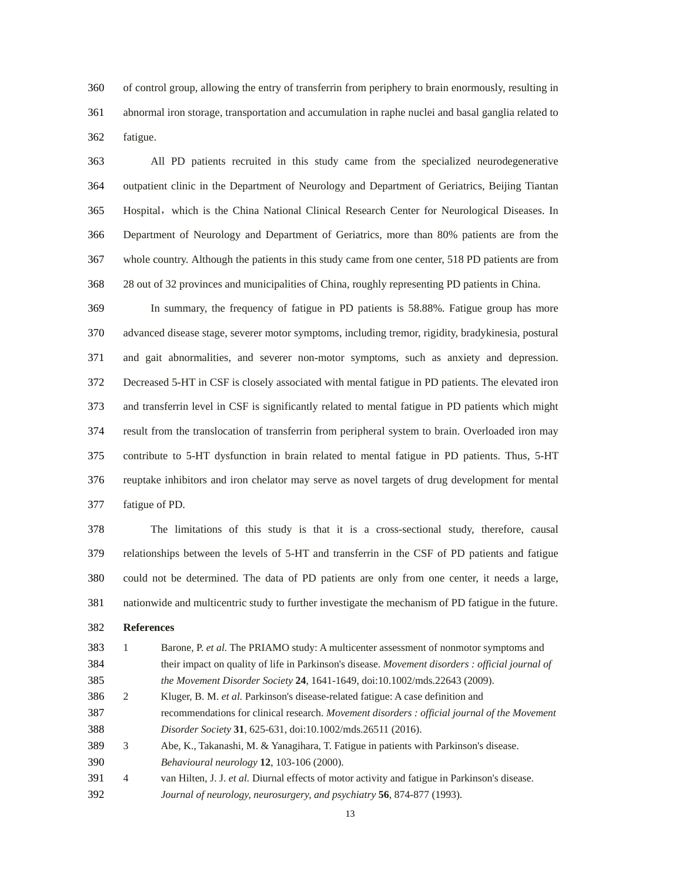360 of control group, allowing the entry of transferrin from periphery to brain enormously, resulting in 361 abnormal iron storage, transportation and accumulation in raphe nuclei and basal ganglia related to 362 fatigue.

363 All PD patients recruited in this study came from the specialized neurodegenerative 364 outpatient clinic in the Department of Neurology and Department of Geriatrics, Beijing Tiantan 365 Hospital, which is the China National Clinical Research Center for Neurological Diseases. In 366 Department of Neurology and Department of Geriatrics, more than 80% patients are from the 367 whole country. Although the patients in this study came from one center, 518 PD patients are from 368 28 out of 32 provinces and municipalities of China, roughly representing PD patients in China.

369 In summary, the frequency of fatigue in PD patients is 58.88%. Fatigue group has more 370 advanced disease stage, severer motor symptoms, including tremor, rigidity, bradykinesia, postural 371 and gait abnormalities, and severer non-motor symptoms, such as anxiety and depression. 372 Decreased 5-HT in CSF is closely associated with mental fatigue in PD patients. The elevated iron 373 and transferrin level in CSF is significantly related to mental fatigue in PD patients which might 374 result from the translocation of transferrin from peripheral system to brain. Overloaded iron may 375 contribute to 5-HT dysfunction in brain related to mental fatigue in PD patients. Thus, 5-HT 376 reuptake inhibitors and iron chelator may serve as novel targets of drug development for mental 377 fatigue of PD.

378 The limitations of this study is that it is a cross-sectional study, therefore, causal 379 relationships between the levels of 5-HT and transferrin in the CSF of PD patients and fatigue 380 could not be determined. The data of PD patients are only from one center, it needs a large, 381 nationwide and multicentric study to further investigate the mechanism of PD fatigue in the future.

- 382 **References**
- 383 1 Barone, P. *et al.* The PRIAMO study: A multicenter assessment of nonmotor symptoms and 384 their impact on quality of life in Parkinson's disease. *Movement disorders : official journal of*  385 *the Movement Disorder Society* **24**, 1641-1649, doi:10.1002/mds.22643 (2009). 386 2 Kluger, B. M. *et al.* Parkinson's disease-related fatigue: A case definition and 387 recommendations for clinical research. *Movement disorders : official journal of the Movement*  388 *Disorder Society* **31**, 625-631, doi:10.1002/mds.26511 (2016). 389 3 Abe, K., Takanashi, M. & Yanagihara, T. Fatigue in patients with Parkinson's disease. 390 *Behavioural neurology* **12**, 103-106 (2000).
- 391 4 van Hilten, J. J. *et al.* Diurnal effects of motor activity and fatigue in Parkinson's disease. 392 *Journal of neurology, neurosurgery, and psychiatry* **56**, 874-877 (1993).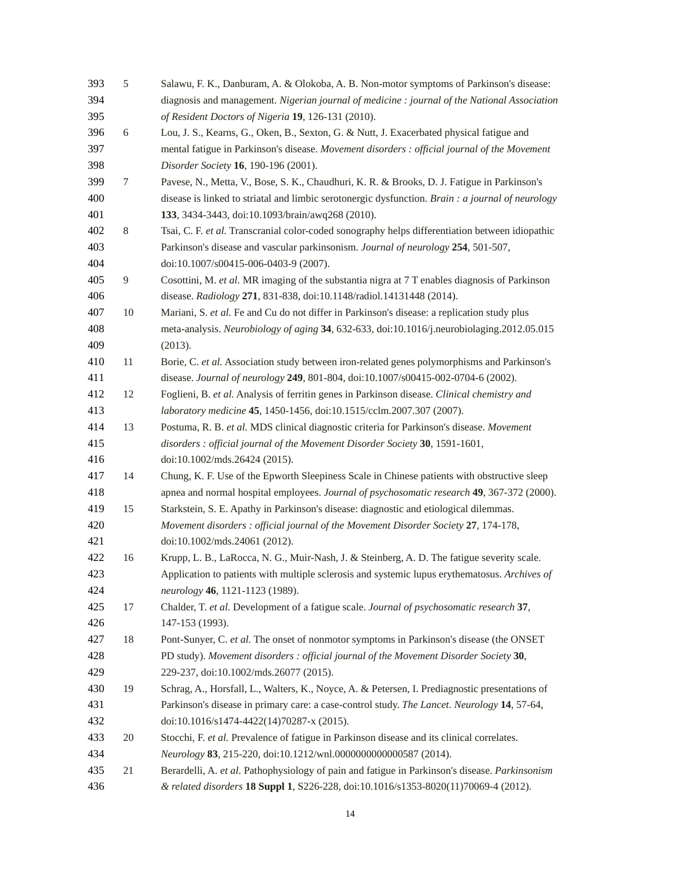| 393 | 5      | Salawu, F. K., Danburam, A. & Olokoba, A. B. Non-motor symptoms of Parkinson's disease:           |
|-----|--------|---------------------------------------------------------------------------------------------------|
| 394 |        | diagnosis and management. Nigerian journal of medicine : journal of the National Association      |
| 395 |        | of Resident Doctors of Nigeria 19, 126-131 (2010).                                                |
| 396 | 6      | Lou, J. S., Kearns, G., Oken, B., Sexton, G. & Nutt, J. Exacerbated physical fatigue and          |
| 397 |        | mental fatigue in Parkinson's disease. Movement disorders : official journal of the Movement      |
| 398 |        | Disorder Society 16, 190-196 (2001).                                                              |
| 399 | $\tau$ | Pavese, N., Metta, V., Bose, S. K., Chaudhuri, K. R. & Brooks, D. J. Fatigue in Parkinson's       |
| 400 |        | disease is linked to striatal and limbic serotonergic dysfunction. Brain : a journal of neurology |
| 401 |        | 133, 3434-3443, doi:10.1093/brain/awq268 (2010).                                                  |
| 402 | $\,8$  | Tsai, C. F. et al. Transcranial color-coded sonography helps differentiation between idiopathic   |
| 403 |        | Parkinson's disease and vascular parkinsonism. Journal of neurology 254, 501-507,                 |
| 404 |        | doi:10.1007/s00415-006-0403-9 (2007).                                                             |
| 405 | 9      | Cosottini, M. et al. MR imaging of the substantia nigra at 7 T enables diagnosis of Parkinson     |
| 406 |        | disease. Radiology 271, 831-838, doi:10.1148/radiol.14131448 (2014).                              |
| 407 | 10     | Mariani, S. et al. Fe and Cu do not differ in Parkinson's disease: a replication study plus       |
| 408 |        | meta-analysis. Neurobiology of aging 34, 632-633, doi:10.1016/j.neurobiolaging.2012.05.015        |
| 409 |        | (2013).                                                                                           |
| 410 | 11     | Borie, C. et al. Association study between iron-related genes polymorphisms and Parkinson's       |
| 411 |        | disease. Journal of neurology 249, 801-804, doi:10.1007/s00415-002-0704-6 (2002).                 |
| 412 | 12     | Foglieni, B. et al. Analysis of ferritin genes in Parkinson disease. Clinical chemistry and       |
| 413 |        | laboratory medicine 45, 1450-1456, doi:10.1515/cclm.2007.307 (2007).                              |
| 414 | 13     | Postuma, R. B. et al. MDS clinical diagnostic criteria for Parkinson's disease. Movement          |
| 415 |        | disorders : official journal of the Movement Disorder Society 30, 1591-1601,                      |
| 416 |        | doi:10.1002/mds.26424 (2015).                                                                     |
| 417 | 14     | Chung, K. F. Use of the Epworth Sleepiness Scale in Chinese patients with obstructive sleep       |
| 418 |        | apnea and normal hospital employees. Journal of psychosomatic research 49, 367-372 (2000).        |
| 419 | 15     | Starkstein, S. E. Apathy in Parkinson's disease: diagnostic and etiological dilemmas.             |
| 420 |        | Movement disorders : official journal of the Movement Disorder Society 27, 174-178,               |
| 421 |        | doi:10.1002/mds.24061 (2012).                                                                     |
| 422 | 16     | Krupp, L. B., LaRocca, N. G., Muir-Nash, J. & Steinberg, A. D. The fatigue severity scale.        |
| 423 |        | Application to patients with multiple sclerosis and systemic lupus erythematosus. Archives of     |
| 424 |        | neurology 46, 1121-1123 (1989).                                                                   |
| 425 | 17     | Chalder, T. et al. Development of a fatigue scale. Journal of psychosomatic research 37,          |
| 426 |        | 147-153 (1993).                                                                                   |
| 427 | 18     | Pont-Sunyer, C. et al. The onset of nonmotor symptoms in Parkinson's disease (the ONSET           |
| 428 |        | PD study). Movement disorders : official journal of the Movement Disorder Society 30,             |
| 429 |        | 229-237, doi:10.1002/mds.26077 (2015).                                                            |
| 430 | 19     | Schrag, A., Horsfall, L., Walters, K., Noyce, A. & Petersen, I. Prediagnostic presentations of    |
| 431 |        | Parkinson's disease in primary care: a case-control study. The Lancet. Neurology 14, 57-64,       |
| 432 |        | doi:10.1016/s1474-4422(14)70287-x (2015).                                                         |
| 433 | $20\,$ | Stocchi, F. et al. Prevalence of fatigue in Parkinson disease and its clinical correlates.        |
| 434 |        | Neurology 83, 215-220, doi:10.1212/wnl.0000000000000587 (2014).                                   |
| 435 | 21     | Berardelli, A. et al. Pathophysiology of pain and fatigue in Parkinson's disease. Parkinsonism    |
| 436 |        | & related disorders 18 Suppl 1, S226-228, doi:10.1016/s1353-8020(11)70069-4 (2012).               |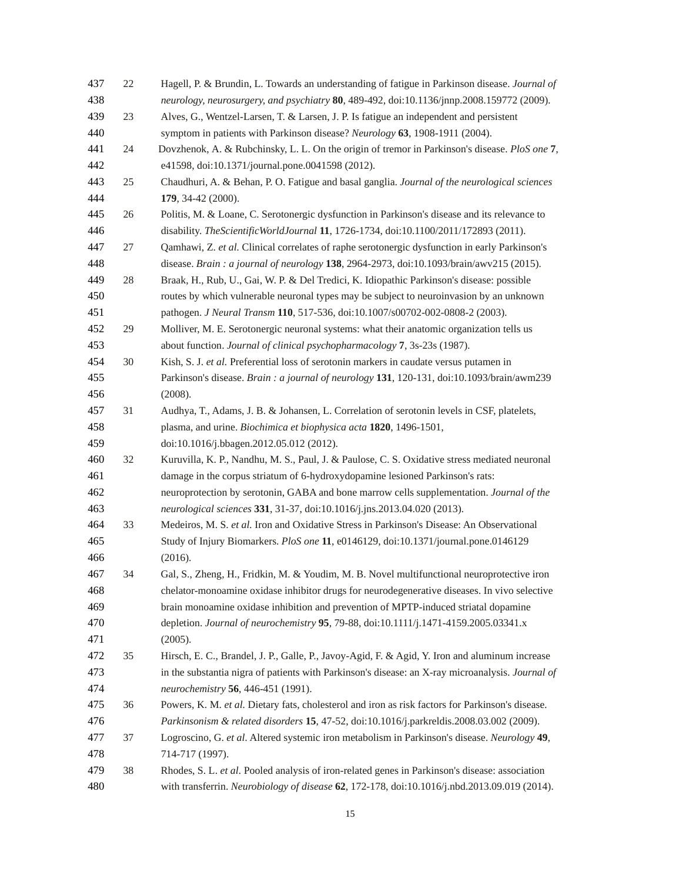| 437 | 22 | Hagell, P. & Brundin, L. Towards an understanding of fatigue in Parkinson disease. Journal of    |
|-----|----|--------------------------------------------------------------------------------------------------|
| 438 |    | neurology, neurosurgery, and psychiatry 80, 489-492, doi:10.1136/jnnp.2008.159772 (2009).        |
| 439 | 23 | Alves, G., Wentzel-Larsen, T. & Larsen, J. P. Is fatigue an independent and persistent           |
| 440 |    | symptom in patients with Parkinson disease? Neurology 63, 1908-1911 (2004).                      |
| 441 | 24 | Dovzhenok, A. & Rubchinsky, L. L. On the origin of tremor in Parkinson's disease. PloS one 7,    |
| 442 |    | e41598, doi:10.1371/journal.pone.0041598 (2012).                                                 |
| 443 | 25 | Chaudhuri, A. & Behan, P. O. Fatigue and basal ganglia. Journal of the neurological sciences     |
| 444 |    | 179, 34-42 (2000).                                                                               |
| 445 | 26 | Politis, M. & Loane, C. Serotonergic dysfunction in Parkinson's disease and its relevance to     |
| 446 |    | disability. The Scientific WorldJournal 11, 1726-1734, doi:10.1100/2011/172893 (2011).           |
| 447 | 27 | Qamhawi, Z. et al. Clinical correlates of raphe serotonergic dysfunction in early Parkinson's    |
| 448 |    | disease. Brain: a journal of neurology 138, 2964-2973, doi:10.1093/brain/awv215 (2015).          |
| 449 | 28 | Braak, H., Rub, U., Gai, W. P. & Del Tredici, K. Idiopathic Parkinson's disease: possible        |
| 450 |    | routes by which vulnerable neuronal types may be subject to neuroinvasion by an unknown          |
| 451 |    | pathogen. J Neural Transm 110, 517-536, doi:10.1007/s00702-002-0808-2 (2003).                    |
| 452 | 29 | Molliver, M. E. Serotonergic neuronal systems: what their anatomic organization tells us         |
| 453 |    | about function. Journal of clinical psychopharmacology 7, 3s-23s (1987).                         |
| 454 | 30 | Kish, S. J. et al. Preferential loss of serotonin markers in caudate versus putamen in           |
| 455 |    | Parkinson's disease. Brain: a journal of neurology 131, 120-131, doi:10.1093/brain/awm239        |
| 456 |    | (2008).                                                                                          |
| 457 | 31 | Audhya, T., Adams, J. B. & Johansen, L. Correlation of serotonin levels in CSF, platelets,       |
| 458 |    | plasma, and urine. Biochimica et biophysica acta 1820, 1496-1501,                                |
| 459 |    | doi:10.1016/j.bbagen.2012.05.012 (2012).                                                         |
| 460 | 32 | Kuruvilla, K. P., Nandhu, M. S., Paul, J. & Paulose, C. S. Oxidative stress mediated neuronal    |
| 461 |    | damage in the corpus striatum of 6-hydroxydopamine lesioned Parkinson's rats:                    |
| 462 |    | neuroprotection by serotonin, GABA and bone marrow cells supplementation. Journal of the         |
| 463 |    | neurological sciences 331, 31-37, doi:10.1016/j.jns.2013.04.020 (2013).                          |
| 464 | 33 | Medeiros, M. S. et al. Iron and Oxidative Stress in Parkinson's Disease: An Observational        |
| 465 |    | Study of Injury Biomarkers. PloS one 11, e0146129, doi:10.1371/journal.pone.0146129              |
| 466 |    | (2016).                                                                                          |
| 467 | 34 | Gal, S., Zheng, H., Fridkin, M. & Youdim, M. B. Novel multifunctional neuroprotective iron       |
| 468 |    | chelator-monoamine oxidase inhibitor drugs for neurodegenerative diseases. In vivo selective     |
| 469 |    | brain monoamine oxidase inhibition and prevention of MPTP-induced striatal dopamine              |
| 470 |    | depletion. Journal of neurochemistry 95, 79-88, doi:10.1111/j.1471-4159.2005.03341.x             |
| 471 |    | (2005).                                                                                          |
| 472 | 35 | Hirsch, E. C., Brandel, J. P., Galle, P., Javoy-Agid, F. & Agid, Y. Iron and aluminum increase   |
| 473 |    | in the substantia nigra of patients with Parkinson's disease: an X-ray microanalysis. Journal of |
| 474 |    | neurochemistry 56, 446-451 (1991).                                                               |
| 475 | 36 | Powers, K. M. et al. Dietary fats, cholesterol and iron as risk factors for Parkinson's disease. |
| 476 |    | Parkinsonism & related disorders 15, 47-52, doi:10.1016/j.parkreldis.2008.03.002 (2009).         |
| 477 | 37 | Logroscino, G. et al. Altered systemic iron metabolism in Parkinson's disease. Neurology 49,     |
| 478 |    | 714-717 (1997).                                                                                  |
| 479 | 38 | Rhodes, S. L. et al. Pooled analysis of iron-related genes in Parkinson's disease: association   |
| 480 |    | with transferrin. Neurobiology of disease 62, 172-178, doi:10.1016/j.nbd.2013.09.019 (2014).     |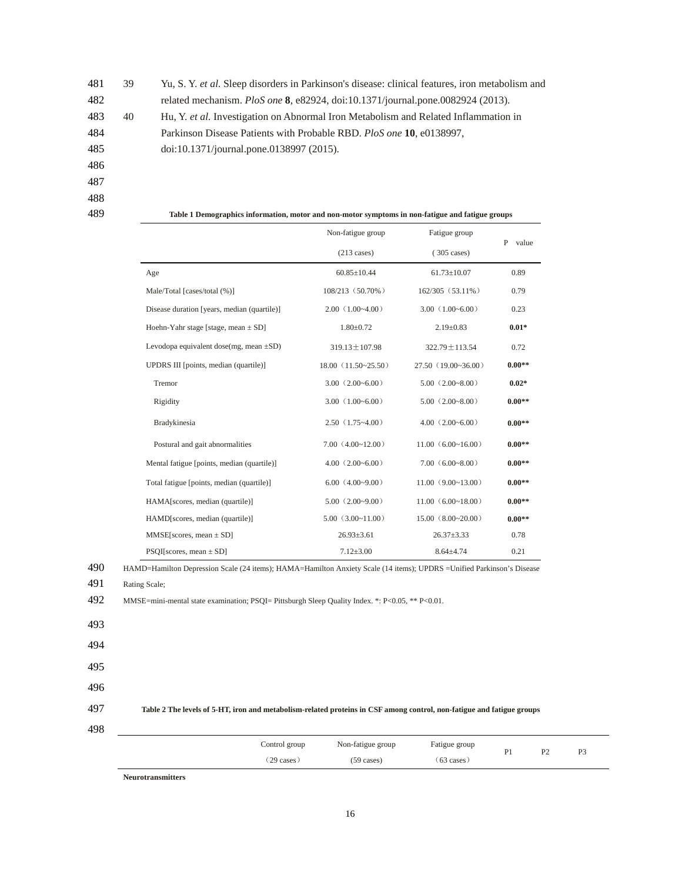481 39 Yu, S. Y. *et al.* Sleep disorders in Parkinson's disease: clinical features, iron metabolism and 482 related mechanism. *PloS one* **8**, e82924, doi:10.1371/journal.pone.0082924 (2013). 483 40 Hu, Y. *et al.* Investigation on Abnormal Iron Metabolism and Related Inflammation in 484 Parkinson Disease Patients with Probable RBD. *PloS one* **10**, e0138997, 485 doi:10.1371/journal.pone.0138997 (2015). 486 487 488

| 489 | Table 1 Demographics information, motor and non-motor symptoms in non-fatigue and fatigue groups |                       |                       |            |  |  |  |
|-----|--------------------------------------------------------------------------------------------------|-----------------------|-----------------------|------------|--|--|--|
|     |                                                                                                  | Non-fatigue group     | Fatigue group         | P<br>value |  |  |  |
|     |                                                                                                  | $(213 \text{ cases})$ | $(305 \text{ cases})$ |            |  |  |  |
|     | Age                                                                                              | $60.85 \pm 10.44$     | $61.73 \pm 10.07$     | 0.89       |  |  |  |
|     | Male/Total [cases/total (%)]                                                                     | 108/213 (50.70%)      | 162/305 (53.11%)      | 0.79       |  |  |  |
|     | Disease duration [years, median (quartile)]                                                      | $2.00(1.00-4.00)$     | $3.00(1.00-6.00)$     | 0.23       |  |  |  |
|     | Hoehn-Yahr stage [stage, mean $\pm$ SD]                                                          | $1.80 \pm 0.72$       | $2.19 \pm 0.83$       | $0.01*$    |  |  |  |
|     | Levodopa equivalent dose(mg, mean $\pm SD$ )                                                     | $319.13 \pm 107.98$   | 322.79 ± 113.54       | 0.72       |  |  |  |
|     | UPDRS III [points, median (quartile)]                                                            | $18.00(11.50-25.50)$  | 27.50(19.00~36.00)    | $0.00**$   |  |  |  |
|     | Tremor                                                                                           | $3.00(2.00-6.00)$     | $5.00(2.00-8.00)$     | $0.02*$    |  |  |  |
|     | Rigidity                                                                                         | 3.00 $(1.00 - 6.00)$  | $5.00(2.00-8.00)$     | $0.00**$   |  |  |  |
|     | Bradykinesia                                                                                     | $2.50(1.75-4.00)$     | $4.00(2.00-6.00)$     | $0.00**$   |  |  |  |
|     | Postural and gait abnormalities                                                                  | 7.00(4.00~12.00)      | 11.00(6.00~16.00)     | $0.00**$   |  |  |  |
|     | Mental fatigue [points, median (quartile)]                                                       | $4.00(2.00-6.00)$     | $7.00(6.00-8.00)$     | $0.00**$   |  |  |  |
|     | Total fatigue [points, median (quartile)]                                                        | 6.00(4.00~9.00)       | 11.00(9.00~13.00)     | $0.00**$   |  |  |  |
|     | HAMA[scores, median (quartile)]                                                                  | 5.00(2.00~9.00)       | 11.00(6.00~18.00)     | $0.00**$   |  |  |  |
|     | HAMD[scores, median (quartile)]                                                                  | 5.00(3.00~11.00)      | 15.00(8.00~20.00)     | $0.00**$   |  |  |  |
|     | $MMSE$ [scores, mean $\pm$ SD]                                                                   | $26.93 \pm 3.61$      | $26.37 \pm 3.33$      | 0.78       |  |  |  |
|     | $PSQI$ [scores, mean $\pm$ SD]                                                                   | $7.12 \pm 3.00$       | $8.64{\pm}4.74$       | 0.21       |  |  |  |

490 HAMD=Hamilton Depression Scale (24 items); HAMA=Hamilton Anxiety Scale (14 items); UPDRS =Unified Parkinson's Disease

492 MMSE=mini-mental state examination; PSQI= Pittsburgh Sleep Quality Index. \*: P<0.05, \*\* P<0.01.

- 493
- 494

495

496

### 497 **Table 2 The levels of 5-HT, iron and metabolism-related proteins in CSF among control, non-fatigue and fatigue groups**

| ۰,<br>۰,<br>٠ |
|---------------|
|---------------|

| Control group | Non-fatigue group    | Fatigue group        | Þ | D٦  | D. |
|---------------|----------------------|----------------------|---|-----|----|
| (29 cases)    | $(59 \text{ cases})$ | $(63 \text{ cases})$ |   | . . |    |

**Neurotransmitters** 

<sup>491</sup> Rating Scale;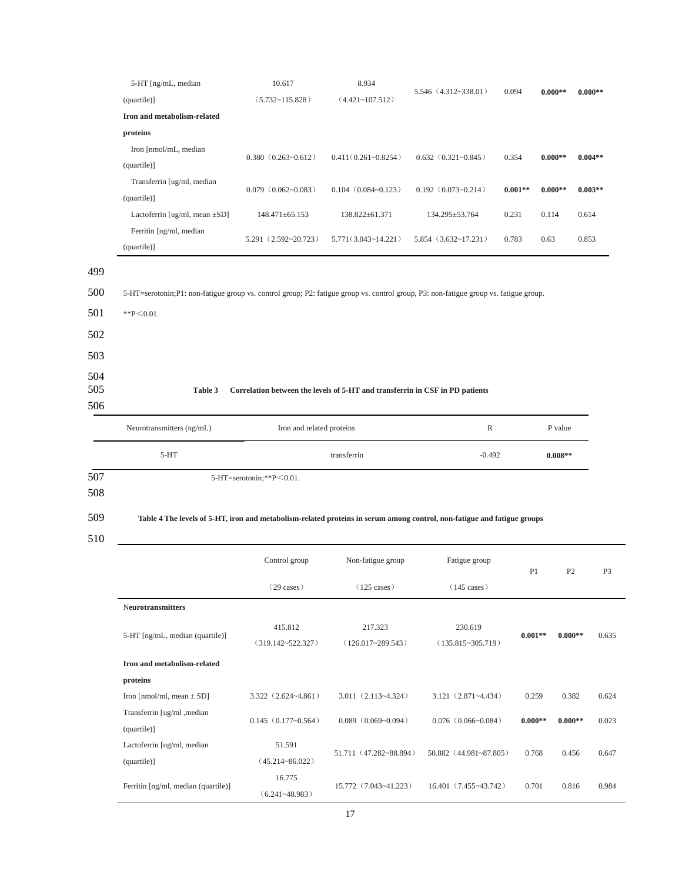|                                 | 5-HT [ng/mL, median                                                                                                                                       | 10.617                     | 8.934                      | 5.546 (4.312~338.01)            | 0.094     |           | $0.000**$ |  |  |
|---------------------------------|-----------------------------------------------------------------------------------------------------------------------------------------------------------|----------------------------|----------------------------|---------------------------------|-----------|-----------|-----------|--|--|
|                                 | (quartile)]                                                                                                                                               | $(5.732 - 115.828)$        | $(4.421 - 107.512)$        |                                 |           | $0.000**$ |           |  |  |
|                                 | Iron and metabolism-related                                                                                                                               |                            |                            |                                 |           |           |           |  |  |
|                                 | proteins                                                                                                                                                  |                            |                            |                                 |           |           |           |  |  |
|                                 | Iron [nmol/mL, median                                                                                                                                     | $0.380$ $(0.263 - 0.612)$  | $0.411(0.261 - 0.8254)$    | $0.632$ $(0.321 - 0.845)$       | 0.354     | $0.000**$ | $0.004**$ |  |  |
|                                 | (quartile)]                                                                                                                                               |                            |                            |                                 |           |           |           |  |  |
|                                 | Transferrin [ug/ml, median<br>(quartile)]                                                                                                                 | $0.079$ $(0.062 - 0.083)$  | $0.104$ $(0.084 - 0.123)$  | $0.192$ $(0.073 - 0.214)$       | $0.001**$ | $0.000**$ | $0.003**$ |  |  |
|                                 | Lactoferrin [ug/ml, mean $\pm SD$ ]                                                                                                                       | 148.471±65.153             | 138.822±61.371             | 134.295±53.764                  | 0.231     | 0.114     | 0.614     |  |  |
|                                 | Ferritin [ng/ml, median<br>(quartile)]                                                                                                                    | $5.291$ $(2.592 - 20.723)$ | $5.771(3.043 \sim 14.221)$ | $5.854$ $(3.632 \times 17.231)$ | 0.783     | 0.63      | 0.853     |  |  |
| 499<br>500<br>501<br>502<br>503 | 5-HT=serotonin;P1: non-fatigue group vs. control group; P2: fatigue group vs. control group, P3: non-fatigue group vs. fatigue group.<br>$*$ $P < 0.01$ . |                            |                            |                                 |           |           |           |  |  |
| 504<br>505<br>506               | Table 3<br>Correlation between the levels of 5-HT and transferrin in CSF in PD patients                                                                   |                            |                            |                                 |           |           |           |  |  |
|                                 | Neurotransmitters (ng/mL)                                                                                                                                 | Iron and related proteins  |                            |                                 |           | P value   |           |  |  |
|                                 | $5-HT$                                                                                                                                                    |                            | transferrin                | $-0.492$                        |           | $0.008**$ |           |  |  |
| 507                             |                                                                                                                                                           | 5-HT=serotonin;**P<0.01.   |                            |                                 |           |           |           |  |  |
| 508                             |                                                                                                                                                           |                            |                            |                                 |           |           |           |  |  |

# 509 **Table 4 The levels of 5-HT, iron and metabolism-related proteins in serum among control, non-fatigue and fatigue groups**

510

|                                     | Control group              | Non-fatigue group           | Fatigue group                 | P1        |           | P <sub>3</sub> |
|-------------------------------------|----------------------------|-----------------------------|-------------------------------|-----------|-----------|----------------|
|                                     | $(29 \text{ cases})$       | $(125 \text{ cases})$       | $(145 \text{ cases})$         |           |           |                |
| <b>Neurotransmitters</b>            |                            |                             |                               |           |           |                |
|                                     | 415.812                    | 217.323                     | 230.619                       |           | $0.000**$ | 0.635          |
| 5-HT [ng/mL, median (quartile)]     | $(319.142 \times 522.327)$ | $(126.017 - 289.543)$       | $(135.815 - 305.719)$         | $0.001**$ |           |                |
| Iron and metabolism-related         |                            |                             |                               |           |           |                |
| proteins                            |                            |                             |                               |           |           |                |
| Iron [nmol/ml, mean $\pm$ SD]       | $3.322$ $(2.624 - 4.861)$  | $3.011(2.113-4.324)$        | $3.121 (2.871 - 4.434)$       | 0.259     | 0.382     | 0.624          |
| Transferrin [ug/ml , median]        | $0.145(0.177-0.564)$       | $0.089$ $(0.069 - 0.094)$   | $0.076$ $(0.066 - 0.084)$     | $0.000**$ | $0.000**$ | 0.023          |
| (quartile)]                         |                            |                             |                               |           |           |                |
| Lactoferrin [ug/ml, median          | 51.591                     | 51.711 (47.282~88.894)      | $50.882$ $(44.981 - 87.805)$  | 0.768     | 0.456     | 0.647          |
| (quartile)]                         | $(45.214 - 86.022)$        |                             |                               |           |           |                |
|                                     | 16.775                     | $15.772$ $(7.043 - 41.223)$ | $16.401(7.455 \times 43.742)$ | 0.701     | 0.816     | 0.984          |
| Ferritin [ng/ml, median (quartile)] | $(6.241 - 48.983)$         |                             |                               |           |           |                |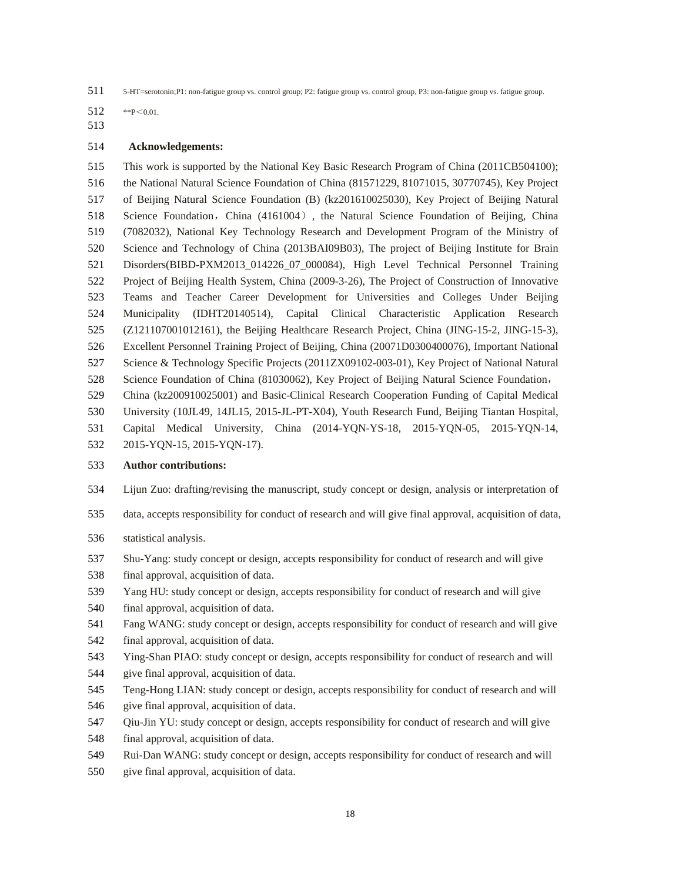511 5-HT=serotonin;P1: non-fatigue group vs. control group; P2: fatigue group vs. control group, P3: non-fatigue group vs. fatigue group.

- 512 \*\* P< 0.01.
- 513

### 514 **Acknowledgements:**

515 This work is supported by the National Key Basic Research Program of China (2011CB504100); 516 the National Natural Science Foundation of China (81571229, 81071015, 30770745), Key Project 517 of Beijing Natural Science Foundation (B) (kz201610025030), Key Project of Beijing Natural 518 Science Foundation, China (4161004), the Natural Science Foundation of Beijing, China 519 (7082032), National Key Technology Research and Development Program of the Ministry of 520 Science and Technology of China (2013BAI09B03), The project of Beijing Institute for Brain 521 Disorders(BIBD-PXM2013\_014226\_07\_000084), High Level Technical Personnel Training 522 Project of Beijing Health System, China (2009-3-26), The Project of Construction of Innovative 523 Teams and Teacher Career Development for Universities and Colleges Under Beijing 524 Municipality (IDHT20140514), Capital Clinical Characteristic Application Research 525 (Z121107001012161), the Beijing Healthcare Research Project, China (JING-15-2, JING-15-3), 526 Excellent Personnel Training Project of Beijing, China (20071D0300400076), Important National 527 Science & Technology Specific Projects (2011ZX09102-003-01), Key Project of National Natural 528 Science Foundation of China (81030062), Key Project of Beijing Natural Science Foundation, 529 China (kz200910025001) and Basic-Clinical Research Cooperation Funding of Capital Medical 530 University (10JL49, 14JL15, 2015-JL-PT-X04), Youth Research Fund, Beijing Tiantan Hospital, 531 Capital Medical University, China (2014-YQN-YS-18, 2015-YQN-05, 2015-YQN-14,

532 2015-YQN-15, 2015-YQN-17).

### 533 **Author contributions:**

- 534 Lijun Zuo: drafting/revising the manuscript, study concept or design, analysis or interpretation of
- 535 data, accepts responsibility for conduct of research and will give final approval, acquisition of data,
- 536 statistical analysis.
- 537 Shu-Yang: study concept or design, accepts responsibility for conduct of research and will give
- 538 final approval, acquisition of data.
- 539 Yang HU: study concept or design, accepts responsibility for conduct of research and will give
- 540 final approval, acquisition of data.
- 541 Fang WANG: study concept or design, accepts responsibility for conduct of research and will give
- 542 final approval, acquisition of data.
- 543 Ying-Shan PIAO: study concept or design, accepts responsibility for conduct of research and will
- 544 give final approval, acquisition of data.
- 545 Teng-Hong LIAN: study concept or design, accepts responsibility for conduct of research and will
- 546 give final approval, acquisition of data.
- 547 Qiu-Jin YU: study concept or design, accepts responsibility for conduct of research and will give 548 final approval, acquisition of data.
- 549 Rui-Dan WANG: study concept or design, accepts responsibility for conduct of research and will
- 550 give final approval, acquisition of data.